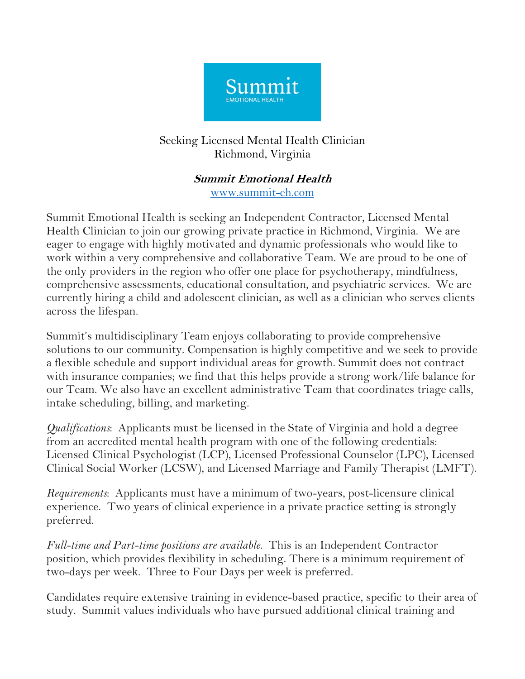

## Seeking Licensed Mental Health Clinician Richmond, Virginia

## **Summit Emotional Health** www.summit-eh.com

Summit Emotional Health is seeking an Independent Contractor, Licensed Mental Health Clinician to join our growing private practice in Richmond, Virginia. We are eager to engage with highly motivated and dynamic professionals who would like to work within a very comprehensive and collaborative Team. We are proud to be one of the only providers in the region who offer one place for psychotherapy, mindfulness, comprehensive assessments, educational consultation, and psychiatric services. We are currently hiring a child and adolescent clinician, as well as a clinician who serves clients across the lifespan.

Summit's multidisciplinary Team enjoys collaborating to provide comprehensive solutions to our community. Compensation is highly competitive and we seek to provide a flexible schedule and support individual areas for growth. Summit does not contract with insurance companies; we find that this helps provide a strong work/life balance for our Team. We also have an excellent administrative Team that coordinates triage calls, intake scheduling, billing, and marketing.

*Qualifications*: Applicants must be licensed in the State of Virginia and hold a degree from an accredited mental health program with one of the following credentials: Licensed Clinical Psychologist (LCP), Licensed Professional Counselor (LPC), Licensed Clinical Social Worker (LCSW), and Licensed Marriage and Family Therapist (LMFT).

*Requirements*: Applicants must have a minimum of two-years, post-licensure clinical experience. Two years of clinical experience in a private practice setting is strongly preferred.

*Full-time and Part-time positions are available*. This is an Independent Contractor position, which provides flexibility in scheduling. There is a minimum requirement of two-days per week. Three to Four Days per week is preferred.

Candidates require extensive training in evidence-based practice, specific to their area of study. Summit values individuals who have pursued additional clinical training and